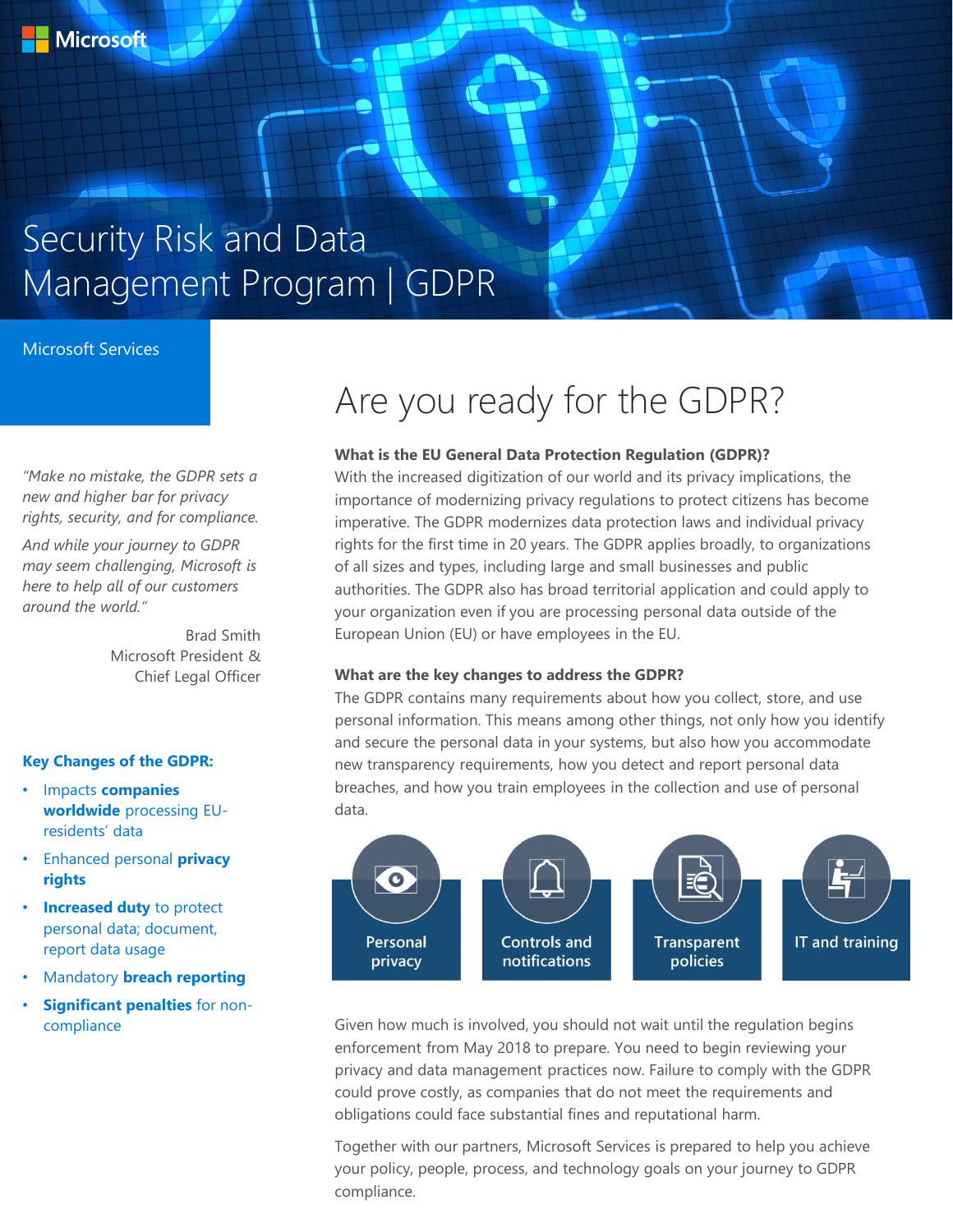# Security Risk and Data Management Program | GDPR

### Microsoft Services

*"Make no mistake, the GDPR sets a new and higher bar for privacy rights, security, and for compliance.*

*And while your journey to GDPR may seem challenging, Microsoft is here to help all of our customers around the world."*

> Brad Smith Microsoft President & Chief Legal Officer

### **Key Changes of the GDPR:**

- Impacts **companies worldwide** processing EUresidents' data
- Enhanced personal **privacy rights**
- **Increased duty** to protect personal data; document, report data usage
- Mandatory **breach reporting**
- **Significant penalties** for noncompliance

## Are you ready for the GDPR?

#### **What is the EU General Data Protection Regulation (GDPR)?**

With the increased digitization of our world and its privacy implications, the importance of modernizing privacy regulations to protect citizens has become imperative. The GDPR modernizes data protection laws and individual privacy rights for the first time in 20 years. The GDPR applies broadly, to organizations of all sizes and types, including large and small businesses and public authorities. The GDPR also has broad territorial application and could apply to your organization even if you are processing personal data outside of the European Union (EU) or have employees in the EU.

#### **What are the key changes to address the GDPR?**

The GDPR contains many requirements about how you collect, store, and use personal information. This means among other things, not only how you identify and secure the personal data in your systems, but also how you accommodate new transparency requirements, how you detect and report personal data breaches, and how you train employees in the collection and use of personal data.



Given how much is involved, you should not wait until the regulation begins enforcement from May 2018 to prepare. You need to begin reviewing your privacy and data management practices now. Failure to comply with the GDPR could prove costly, as companies that do not meet the requirements and obligations could face substantial fines and reputational harm.

Together with our partners, Microsoft Services is prepared to help you achieve your policy, people, process, and technology goals on your journey to GDPR compliance.